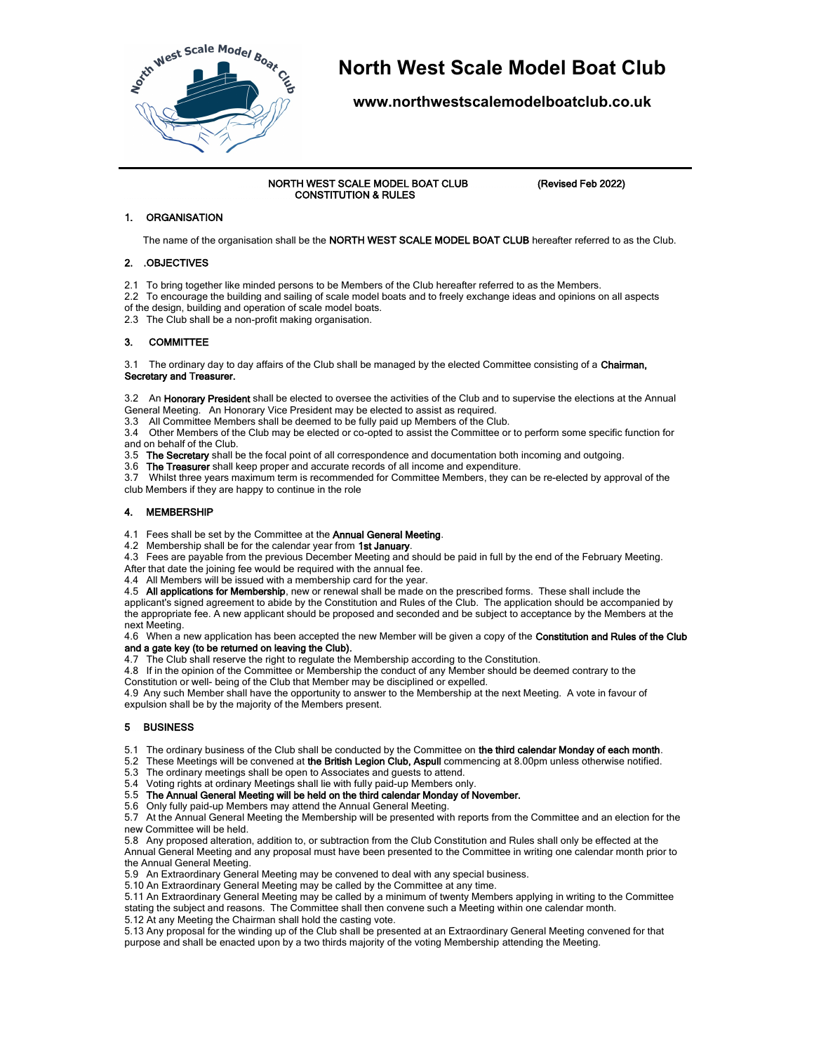

# **North West Scale Model Boat Club**

**www.northwestscalemodelboatclub.co.uk**

 NORTH WEST SCALE MODEL BOAT CLUB (Revised Feb 2022) CONSTITUTION & RULES

# 1. ORGANISATION

The name of the organisation shall be the NORTH WEST SCALE MODEL BOAT CLUB hereafter referred to as the Club.

#### 2. .OBJECTIVES

2.1 To bring together like minded persons to be Members of the Club hereafter referred to as the Members.

- 2.2 To encourage the building and sailing of scale model boats and to freely exchange ideas and opinions on all aspects of the design, building and operation of scale model boats.
- 2.3 The Club shall be a non-profit making organisation.

### 3. COMMITTEE

3.1 The ordinary day to day affairs of the Club shall be managed by the elected Committee consisting of a Chairman, Secretary and Treasurer.

3.2 An Honorary President shall be elected to oversee the activities of the Club and to supervise the elections at the Annual General Meeting. An Honorary Vice President may be elected to assist as required.

3.3 All Committee Members shall be deemed to be fully paid up Members of the Club.

3.4 Other Members of the Club may be elected or co-opted to assist the Committee or to perform some specific function for and on behalf of the Club.

3.5 The Secretary shall be the focal point of all correspondence and documentation both incoming and outgoing.

3.6 The Treasurer shall keep proper and accurate records of all income and expenditure.

3.7 Whilst three years maximum term is recommended for Committee Members, they can be re-elected by approval of the club Members if they are happy to continue in the role

### 4. MEMBERSHIP

4.1 Fees shall be set by the Committee at the Annual General Meeting.

4.2 Membership shall be for the calendar year from 1st January.

4.3 Fees are payable from the previous December Meeting and should be paid in full by the end of the February Meeting.

After that date the joining fee would be required with the annual fee. 4.4 All Members will be issued with a membership card for the year.

4.5 All applications for Membership, new or renewal shall be made on the prescribed forms. These shall include the

applicant's signed agreement to abide by the Constitution and Rules of the Club. The application should be accompanied by the appropriate fee. A new applicant should be proposed and seconded and be subject to acceptance by the Members at the next Meeting.

4.6 When a new application has been accepted the new Member will be given a copy of the Constitution and Rules of the Club and a gate key (to be returned on leaving the Club).

4.7 The Club shall reserve the right to regulate the Membership according to the Constitution.

4.8 If in the opinion of the Committee or Membership the conduct of any Member should be deemed contrary to the Constitution or well- being of the Club that Member may be disciplined or expelled.

4.9 Any such Member shall have the opportunity to answer to the Membership at the next Meeting. A vote in favour of expulsion shall be by the majority of the Members present.

# 5 BUSINESS

5.1 The ordinary business of the Club shall be conducted by the Committee on the third calendar Monday of each month.

5.2 These Meetings will be convened at the British Legion Club, Aspull commencing at 8.00pm unless otherwise notified.

5.3 The ordinary meetings shall be open to Associates and guests to attend.

5.4 Voting rights at ordinary Meetings shall lie with fully paid-up Members only.

5.5 The Annual General Meeting will be held on the third calendar Monday of November.

5.6 Only fully paid-up Members may attend the Annual General Meeting.

5.7 At the Annual General Meeting the Membership will be presented with reports from the Committee and an election for the new Committee will be held.

5.8 Any proposed alteration, addition to, or subtraction from the Club Constitution and Rules shall only be effected at the Annual General Meeting and any proposal must have been presented to the Committee in writing one calendar month prior to the Annual General Meeting.

5.9 An Extraordinary General Meeting may be convened to deal with any special business.

5.10 An Extraordinary General Meeting may be called by the Committee at any time.

5.11 An Extraordinary General Meeting may be called by a minimum of twenty Members applying in writing to the Committee stating the subject and reasons. The Committee shall then convene such a Meeting within one calendar month.

5.12 At any Meeting the Chairman shall hold the casting vote.

5.13 Any proposal for the winding up of the Club shall be presented at an Extraordinary General Meeting convened for that purpose and shall be enacted upon by a two thirds majority of the voting Membership attending the Meeting.